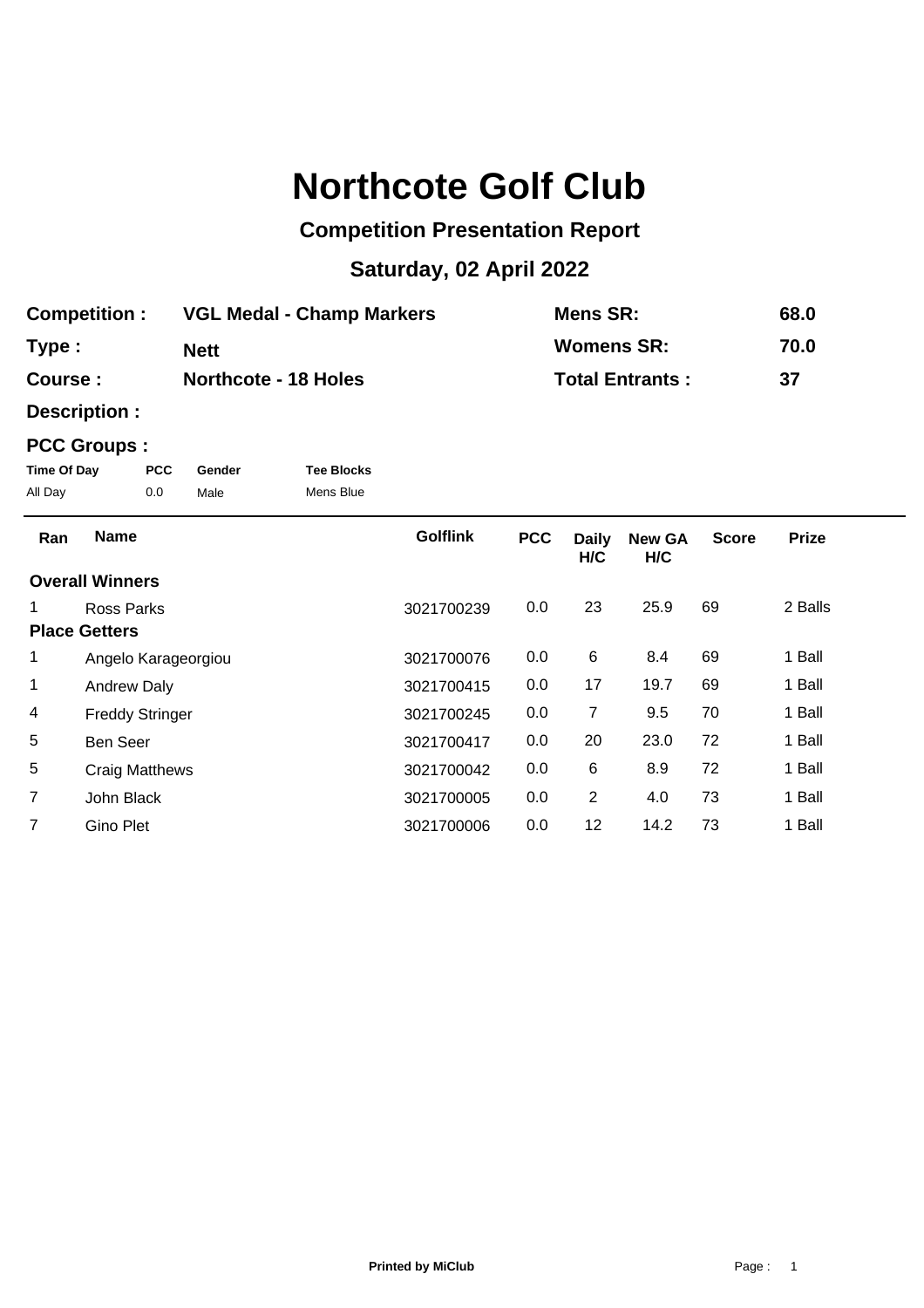## **Northcote Golf Club**

## **Competition Presentation Report**

## **Saturday, 02 April 2022**

| <b>Competition:</b> | <b>VGL Medal - Champ Markers</b> | Mens SR:               | 68.0 |
|---------------------|----------------------------------|------------------------|------|
| Type:               | <b>Nett</b>                      | <b>Womens SR:</b>      | 70.0 |
| Course :            | <b>Northcote - 18 Holes</b>      | <b>Total Entrants:</b> | -37  |

**Description :**

## **PCC Groups :**

| Time Of Day | <b>PCC</b> | Gender | <b>Tee Blocks</b> |
|-------------|------------|--------|-------------------|
| All Day     | 0.0        | Male   | Mens Blue         |

| Ran            | <b>Name</b>            | <b>Golflink</b> | <b>PCC</b> | <b>Daily</b><br>H/C | <b>New GA</b><br>H/C | <b>Score</b> | <b>Prize</b> |  |
|----------------|------------------------|-----------------|------------|---------------------|----------------------|--------------|--------------|--|
|                | <b>Overall Winners</b> |                 |            |                     |                      |              |              |  |
| 1              | Ross Parks             | 3021700239      | 0.0        | 23                  | 25.9                 | 69           | 2 Balls      |  |
|                | <b>Place Getters</b>   |                 |            |                     |                      |              |              |  |
| 1              | Angelo Karageorgiou    | 3021700076      | 0.0        | 6                   | 8.4                  | 69           | 1 Ball       |  |
| 1              | <b>Andrew Daly</b>     | 3021700415      | 0.0        | 17                  | 19.7                 | 69           | 1 Ball       |  |
| 4              | <b>Freddy Stringer</b> | 3021700245      | 0.0        | 7                   | 9.5                  | 70           | 1 Ball       |  |
| 5              | <b>Ben Seer</b>        | 3021700417      | 0.0        | 20                  | 23.0                 | 72           | 1 Ball       |  |
| 5              | <b>Craig Matthews</b>  | 3021700042      | 0.0        | 6                   | 8.9                  | 72           | 1 Ball       |  |
| $\overline{7}$ | John Black             | 3021700005      | 0.0        | $\overline{2}$      | 4.0                  | 73           | 1 Ball       |  |
|                | Gino Plet              | 3021700006      | 0.0        | 12                  | 14.2                 | 73           | 1 Ball       |  |